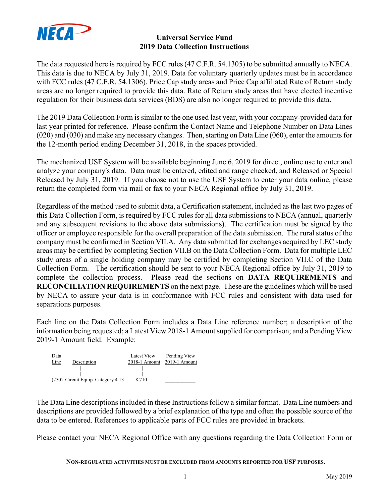

The data requested here is required by FCC rules (47 C.F.R. 54.1305) to be submitted annually to NECA. This data is due to NECA by July 31, 2019. Data for voluntary quarterly updates must be in accordance with FCC rules (47 C.F.R. 54.1306). Price Cap study areas and Price Cap affiliated Rate of Return study areas are no longer required to provide this data. Rate of Return study areas that have elected incentive regulation for their business data services (BDS) are also no longer required to provide this data.

The 2019 Data Collection Form is similar to the one used last year, with your company-provided data for last year printed for reference. Please confirm the Contact Name and Telephone Number on Data Lines (020) and (030) and make any necessary changes. Then, starting on Data Line (060), enter the amounts for the 12-month period ending December 31, 2018, in the spaces provided.

The mechanized USF System will be available beginning June 6, 2019 for direct, online use to enter and analyze your company's data. Data must be entered, edited and range checked, and Released or Special Released by July 31, 2019. If you choose not to use the USF System to enter your data online, please return the completed form via mail or fax to your NECA Regional office by July 31, 2019.

Regardless of the method used to submit data, a Certification statement, included as the last two pages of this Data Collection Form, is required by FCC rules for all data submissions to NECA (annual, quarterly and any subsequent revisions to the above data submissions). The certification must be signed by the officer or employee responsible for the overall preparation of the data submission. The rural status of the company must be confirmed in Section VII.A. Any data submitted for exchanges acquired by LEC study areas may be certified by completing Section VII.B on the Data Collection Form. Data for multiple LEC study areas of a single holding company may be certified by completing Section VII.C of the Data Collection Form. The certification should be sent to your NECA Regional office by July 31, 2019 to complete the collection process. Please read the sections on **DATA REQUIREMENTS** and **RECONCILIATION REQUIREMENTS** on the next page. These are the guidelines which will be used by NECA to assure your data is in conformance with FCC rules and consistent with data used for separations purposes.

Each line on the Data Collection Form includes a Data Line reference number; a description of the information being requested; a Latest View 2018-1 Amount supplied for comparison; and a Pending View 2019-1 Amount field. Example:



The Data Line descriptions included in these Instructions follow a similar format. Data Line numbers and descriptions are provided followed by a brief explanation of the type and often the possible source of the data to be entered. References to applicable parts of FCC rules are provided in brackets.

Please contact your NECA Regional Office with any questions regarding the Data Collection Form or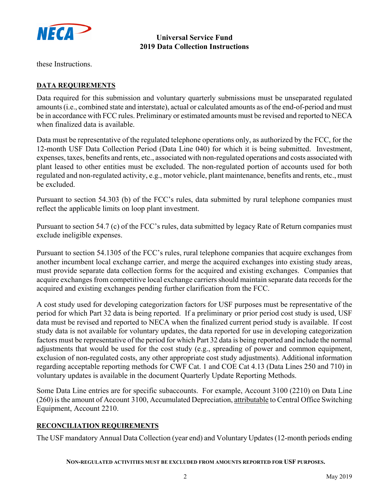

these Instructions.

# **DATA REQUIREMENTS**

Data required for this submission and voluntary quarterly submissions must be unseparated regulated amounts (i.e., combined state and interstate), actual or calculated amounts as of the end-of-period and must be in accordance with FCC rules. Preliminary or estimated amounts must be revised and reported to NECA when finalized data is available.

Data must be representative of the regulated telephone operations only, as authorized by the FCC, for the 12-month USF Data Collection Period (Data Line 040) for which it is being submitted. Investment, expenses, taxes, benefits and rents, etc., associated with non-regulated operations and costs associated with plant leased to other entities must be excluded. The non-regulated portion of accounts used for both regulated and non-regulated activity, e.g., motor vehicle, plant maintenance, benefits and rents, etc., must be excluded.

Pursuant to section 54.303 (b) of the FCC's rules, data submitted by rural telephone companies must reflect the applicable limits on loop plant investment.

Pursuant to section 54.7 (c) of the FCC's rules, data submitted by legacy Rate of Return companies must exclude ineligible expenses.

Pursuant to section 54.1305 of the FCC's rules, rural telephone companies that acquire exchanges from another incumbent local exchange carrier, and merge the acquired exchanges into existing study areas, must provide separate data collection forms for the acquired and existing exchanges. Companies that acquire exchanges from competitive local exchange carriers should maintain separate data records for the acquired and existing exchanges pending further clarification from the FCC.

A cost study used for developing categorization factors for USF purposes must be representative of the period for which Part 32 data is being reported. If a preliminary or prior period cost study is used, USF data must be revised and reported to NECA when the finalized current period study is available. If cost study data is not available for voluntary updates, the data reported for use in developing categorization factors must be representative of the period for which Part 32 data is being reported and include the normal adjustments that would be used for the cost study (e.g., spreading of power and common equipment, exclusion of non-regulated costs, any other appropriate cost study adjustments). Additional information regarding acceptable reporting methods for CWF Cat. 1 and COE Cat 4.13 (Data Lines 250 and 710) in voluntary updates is available in the document Quarterly Update Reporting Methods.

Some Data Line entries are for specific subaccounts. For example, Account 3100 (2210) on Data Line (260) is the amount of Account 3100, Accumulated Depreciation, attributable to Central Office Switching Equipment, Account 2210.

# **RECONCILIATION REQUIREMENTS**

The USF mandatory Annual Data Collection (year end) and Voluntary Updates (12-month periods ending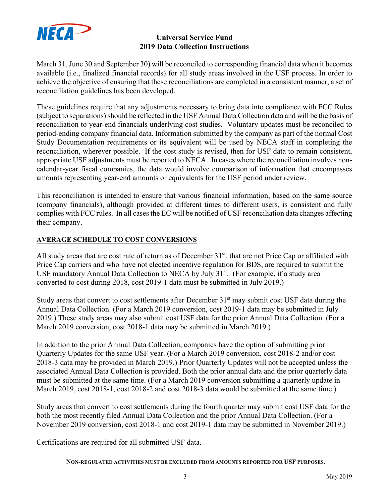

March 31, June 30 and September 30) will be reconciled to corresponding financial data when it becomes available (i.e., finalized financial records) for all study areas involved in the USF process. In order to achieve the objective of ensuring that these reconciliations are completed in a consistent manner, a set of reconciliation guidelines has been developed.

These guidelines require that any adjustments necessary to bring data into compliance with FCC Rules (subject to separations) should be reflected in the USF Annual Data Collection data and will be the basis of reconciliation to year-end financials underlying cost studies. Voluntary updates must be reconciled to period-ending company financial data. Information submitted by the company as part of the normal Cost Study Documentation requirements or its equivalent will be used by NECA staff in completing the reconciliation, wherever possible. If the cost study is revised, then for USF data to remain consistent, appropriate USF adjustments must be reported to NECA. In cases where the reconciliation involves noncalendar-year fiscal companies, the data would involve comparison of information that encompasses amounts representing year-end amounts or equivalents for the USF period under review.

This reconciliation is intended to ensure that various financial information, based on the same source (company financials), although provided at different times to different users, is consistent and fully complies with FCC rules. In all cases the EC will be notified of USF reconciliation data changes affecting their company.

### **AVERAGE SCHEDULE TO COST CONVERSIONS**

All study areas that are cost rate of return as of December  $31<sup>st</sup>$ , that are not Price Cap or affiliated with Price Cap carriers and who have not elected incentive regulation for BDS, are required to submit the USF mandatory Annual Data Collection to NECA by July  $31<sup>st</sup>$ . (For example, if a study area converted to cost during 2018, cost 2019-1 data must be submitted in July 2019.)

Study areas that convert to cost settlements after December  $31<sup>st</sup>$  may submit cost USF data during the Annual Data Collection. (For a March 2019 conversion, cost 2019-1 data may be submitted in July 2019.) These study areas may also submit cost USF data for the prior Annual Data Collection. (For a March 2019 conversion, cost 2018-1 data may be submitted in March 2019.)

In addition to the prior Annual Data Collection, companies have the option of submitting prior Quarterly Updates for the same USF year. (For a March 2019 conversion, cost 2018-2 and/or cost 2018-3 data may be provided in March 2019.) Prior Quarterly Updates will not be accepted unless the associated Annual Data Collection is provided. Both the prior annual data and the prior quarterly data must be submitted at the same time. (For a March 2019 conversion submitting a quarterly update in March 2019, cost 2018-1, cost 2018-2 and cost 2018-3 data would be submitted at the same time.)

Study areas that convert to cost settlements during the fourth quarter may submit cost USF data for the both the most recently filed Annual Data Collection and the prior Annual Data Collection. (For a November 2019 conversion, cost 2018-1 and cost 2019-1 data may be submitted in November 2019.)

Certifications are required for all submitted USF data.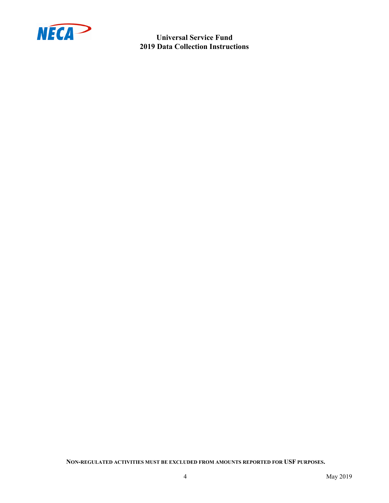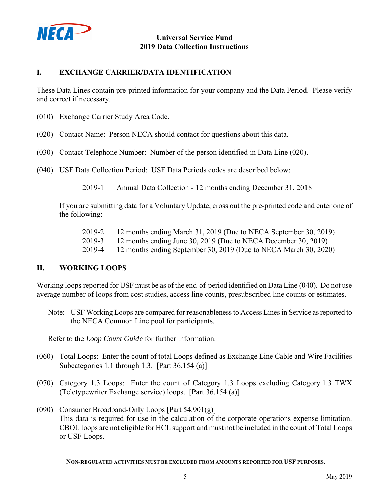

## **I. EXCHANGE CARRIER/DATA IDENTIFICATION**

These Data Lines contain pre-printed information for your company and the Data Period. Please verify and correct if necessary.

- (010) Exchange Carrier Study Area Code.
- (020) Contact Name: Person NECA should contact for questions about this data.
- (030) Contact Telephone Number: Number of the person identified in Data Line (020).
- (040) USF Data Collection Period: USF Data Periods codes are described below:
	- 2019-1 Annual Data Collection 12 months ending December 31, 2018

If you are submitting data for a Voluntary Update, cross out the pre-printed code and enter one of the following:

- 2019-2 12 months ending March 31, 2019 (Due to NECA September 30, 2019)
- 2019-3 12 months ending June 30, 2019 (Due to NECA December 30, 2019)
- 2019-4 12 months ending September 30, 2019 (Due to NECA March 30, 2020)

### **II. WORKING LOOPS**

Working loops reported for USF must be as of the end-of-period identified on Data Line (040). Do not use average number of loops from cost studies, access line counts, presubscribed line counts or estimates.

Note: USF Working Loops are compared for reasonableness to Access Lines in Service as reported to the NECA Common Line pool for participants.

Refer to the *Loop Count Guide* for further information.

- (060) Total Loops: Enter the count of total Loops defined as Exchange Line Cable and Wire Facilities Subcategories 1.1 through 1.3. [Part 36.154 (a)]
- (070) Category 1.3 Loops: Enter the count of Category 1.3 Loops excluding Category 1.3 TWX (Teletypewriter Exchange service) loops. [Part 36.154 (a)]
- (090) Consumer Broadband-Only Loops [Part  $54.901(g)$ ] This data is required for use in the calculation of the corporate operations expense limitation. CBOL loops are not eligible for HCL support and must not be included in the count of Total Loops or USF Loops.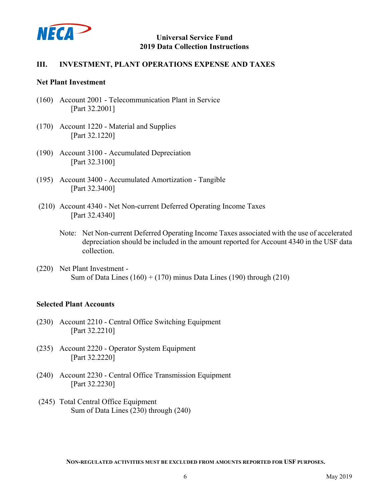

### **III. INVESTMENT, PLANT OPERATIONS EXPENSE AND TAXES**

#### **Net Plant Investment**

- (160) Account 2001 Telecommunication Plant in Service [Part 32.2001]
- (170) Account 1220 Material and Supplies [Part 32.1220]
- (190) Account 3100 Accumulated Depreciation [Part 32.3100]
- (195) Account 3400 Accumulated Amortization Tangible [Part 32.3400]
- (210) Account 4340 Net Non-current Deferred Operating Income Taxes [Part 32.4340]
	- Note: Net Non-current Deferred Operating Income Taxes associated with the use of accelerated depreciation should be included in the amount reported for Account 4340 in the USF data collection.
- (220) Net Plant Investment Sum of Data Lines  $(160) + (170)$  minus Data Lines  $(190)$  through  $(210)$

### **Selected Plant Accounts**

- (230) Account 2210 Central Office Switching Equipment [Part 32.2210]
- (235) Account 2220 Operator System Equipment [Part 32.2220]
- (240) Account 2230 Central Office Transmission Equipment [Part 32.2230]
- (245) Total Central Office Equipment Sum of Data Lines (230) through (240)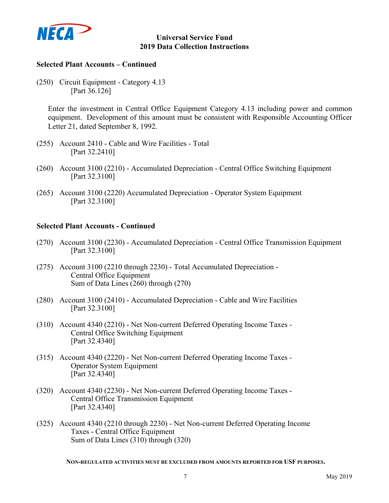

### **Selected Plant Accounts – Continued**

(250) Circuit Equipment - Category 4.13 [Part 36.126]

Enter the investment in Central Office Equipment Category 4.13 including power and common equipment. Development of this amount must be consistent with Responsible Accounting Officer Letter 21, dated September 8, 1992.

- (255) Account 2410 Cable and Wire Facilities Total [Part 32.2410]
- (260) Account 3100 (2210) Accumulated Depreciation Central Office Switching Equipment [Part 32.3100]
- (265) Account 3100 (2220) Accumulated Depreciation Operator System Equipment [Part 32.3100]

### **Selected Plant Accounts - Continued**

- (270) Account 3100 (2230) Accumulated Depreciation Central Office Transmission Equipment [Part 32.3100]
- (275) Account 3100 (2210 through 2230) Total Accumulated Depreciation Central Office Equipment Sum of Data Lines (260) through (270)
- (280) Account 3100 (2410) Accumulated Depreciation Cable and Wire Facilities [Part 32.3100]
- (310) Account 4340 (2210) Net Non-current Deferred Operating Income Taxes Central Office Switching Equipment [Part 32.4340]
- (315) Account 4340 (2220) Net Non-current Deferred Operating Income Taxes Operator System Equipment [Part 32.4340]
- (320) Account 4340 (2230) Net Non-current Deferred Operating Income Taxes Central Office Transmission Equipment [Part 32.4340]
- (325) Account 4340 (2210 through 2230) Net Non-current Deferred Operating Income Taxes - Central Office Equipment Sum of Data Lines (310) through (320)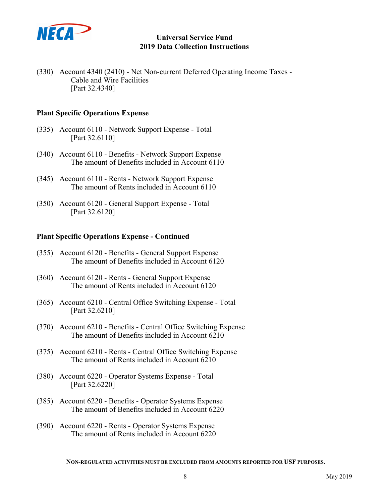

(330) Account 4340 (2410) - Net Non-current Deferred Operating Income Taxes - Cable and Wire Facilities [Part 32.4340]

#### **Plant Specific Operations Expense**

- (335) Account 6110 Network Support Expense Total [Part 32.6110]
- (340) Account 6110 Benefits Network Support Expense The amount of Benefits included in Account 6110
- (345) Account 6110 Rents Network Support Expense The amount of Rents included in Account 6110
- (350) Account 6120 General Support Expense Total [Part 32.6120]

#### **Plant Specific Operations Expense - Continued**

- (355) Account 6120 Benefits General Support Expense The amount of Benefits included in Account 6120
- (360) Account 6120 Rents General Support Expense The amount of Rents included in Account 6120
- (365) Account 6210 Central Office Switching Expense Total [Part 32.6210]
- (370) Account 6210 Benefits Central Office Switching Expense The amount of Benefits included in Account 6210
- (375) Account 6210 Rents Central Office Switching Expense The amount of Rents included in Account 6210
- (380) Account 6220 Operator Systems Expense Total [Part 32.6220]
- (385) Account 6220 Benefits Operator Systems Expense The amount of Benefits included in Account 6220
- (390) Account 6220 Rents Operator Systems Expense The amount of Rents included in Account 6220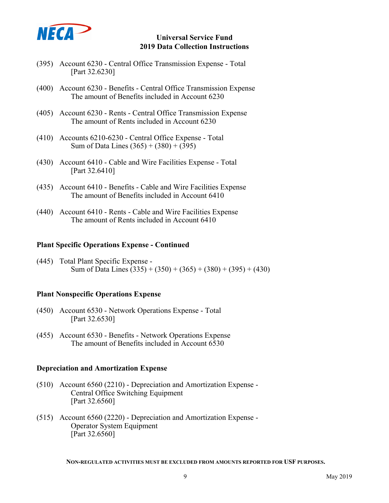

- (395) Account 6230 Central Office Transmission Expense Total [Part 32.6230]
- (400) Account 6230 Benefits Central Office Transmission Expense The amount of Benefits included in Account 6230
- (405) Account 6230 Rents Central Office Transmission Expense The amount of Rents included in Account 6230
- (410) Accounts 6210-6230 Central Office Expense Total Sum of Data Lines  $(365) + (380) + (395)$
- (430) Account 6410 Cable and Wire Facilities Expense Total [Part 32.6410]
- (435) Account 6410 Benefits Cable and Wire Facilities Expense The amount of Benefits included in Account 6410
- (440) Account 6410 Rents Cable and Wire Facilities Expense The amount of Rents included in Account 6410

### **Plant Specific Operations Expense - Continued**

(445) Total Plant Specific Expense - Sum of Data Lines  $(335) + (350) + (365) + (380) + (395) + (430)$ 

### **Plant Nonspecific Operations Expense**

- (450) Account 6530 Network Operations Expense Total [Part 32.6530]
- (455) Account 6530 Benefits Network Operations Expense The amount of Benefits included in Account 6530

### **Depreciation and Amortization Expense**

- (510) Account 6560 (2210) Depreciation and Amortization Expense Central Office Switching Equipment [Part 32.6560]
- (515) Account 6560 (2220) Depreciation and Amortization Expense Operator System Equipment [Part 32.6560]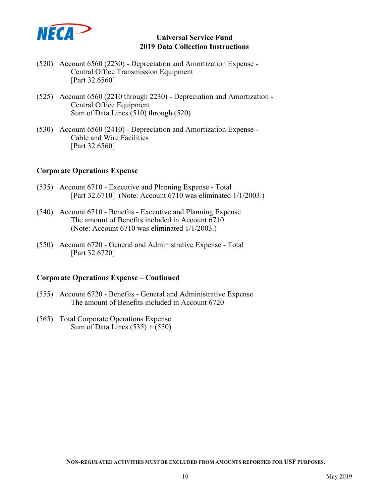

- (520) Account 6560 (2230) Depreciation and Amortization Expense Central Office Transmission Equipment [Part 32.6560]
- (525) Account 6560 (2210 through 2230) Depreciation and Amortization Central Office Equipment Sum of Data Lines (510) through (520)
- (530) Account 6560 (2410) Depreciation and Amortization Expense Cable and Wire Facilities [Part 32.6560]

### **Corporate Operations Expense**

- (535) Account 6710 Executive and Planning Expense Total [Part 32.6710] (Note: Account 6710 was eliminated 1/1/2003.)
- (540) Account 6710 Benefits Executive and Planning Expense The amount of Benefits included in Account 6710 (Note: Account 6710 was eliminated 1/1/2003.)
- (550) Account 6720 General and Administrative Expense Total [Part 32.6720]

### **Corporate Operations Expense – Continued**

- (555) Account 6720 Benefits General and Administrative Expense The amount of Benefits included in Account 6720
- (565) Total Corporate Operations Expense Sum of Data Lines  $(535) + (550)$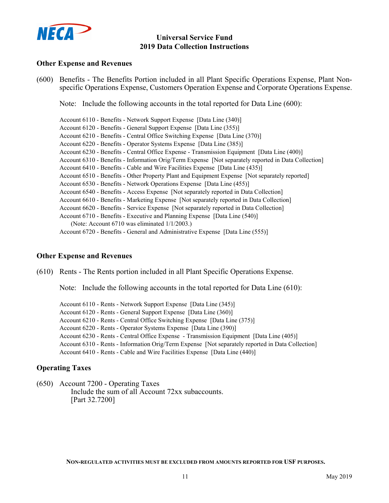

#### **Other Expense and Revenues**

(600) Benefits - The Benefits Portion included in all Plant Specific Operations Expense, Plant Nonspecific Operations Expense, Customers Operation Expense and Corporate Operations Expense.

Note: Include the following accounts in the total reported for Data Line (600):

| Account 6110 - Benefits - Network Support Expense [Data Line (340)]                                  |
|------------------------------------------------------------------------------------------------------|
| Account 6120 - Benefits - General Support Expense [Data Line (355)]                                  |
| Account 6210 - Benefits - Central Office Switching Expense [Data Line (370)]                         |
| Account 6220 - Benefits - Operator Systems Expense [Data Line (385)]                                 |
| Account 6230 - Benefits - Central Office Expense - Transmission Equipment [Data Line (400)]          |
| Account 6310 - Benefits - Information Orig/Term Expense [Not separately reported in Data Collection] |
| Account 6410 - Benefits - Cable and Wire Facilities Expense [Data Line (435)]                        |
| Account 6510 - Benefits - Other Property Plant and Equipment Expense [Not separately reported]       |
| Account 6530 - Benefits - Network Operations Expense [Data Line (455)]                               |
| Account 6540 - Benefits - Access Expense [Not separately reported in Data Collection]                |
| Account 6610 - Benefits - Marketing Expense [Not separately reported in Data Collection]             |
| Account 6620 - Benefits - Service Expense [Not separately reported in Data Collection]               |
| Account 6710 - Benefits - Executive and Planning Expense [Data Line (540)]                           |
| (Note: Account $6710$ was eliminated $1/1/2003$ .)                                                   |
| Account 6720 - Benefits - General and Administrative Expense [Data Line (555)]                       |
|                                                                                                      |

#### **Other Expense and Revenues**

(610) Rents - The Rents portion included in all Plant Specific Operations Expense.

Note: Include the following accounts in the total reported for Data Line (610):

Account 6110 - Rents - Network Support Expense [Data Line (345)] Account 6120 - Rents - General Support Expense [Data Line (360)] Account 6210 - Rents - Central Office Switching Expense [Data Line (375)] Account 6220 - Rents - Operator Systems Expense [Data Line (390)] Account 6230 - Rents - Central Office Expense - Transmission Equipment [Data Line (405)] Account 6310 - Rents - Information Orig/Term Expense [Not separately reported in Data Collection] Account 6410 - Rents - Cable and Wire Facilities Expense [Data Line (440)]

### **Operating Taxes**

(650) Account 7200 - Operating Taxes Include the sum of all Account 72xx subaccounts. [Part 32.7200]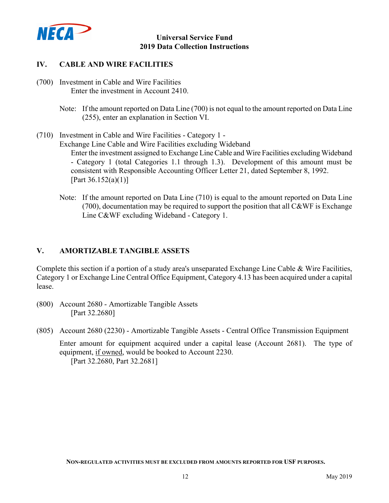

# **IV. CABLE AND WIRE FACILITIES**

- (700) Investment in Cable and Wire Facilities Enter the investment in Account 2410.
	- Note: If the amount reported on Data Line (700) is not equal to the amount reported on Data Line (255), enter an explanation in Section VI.
- (710) Investment in Cable and Wire Facilities Category 1 Exchange Line Cable and Wire Facilities excluding Wideband Enter the investment assigned to Exchange Line Cable and Wire Facilities excluding Wideband - Category 1 (total Categories 1.1 through 1.3). Development of this amount must be consistent with Responsible Accounting Officer Letter 21, dated September 8, 1992. [Part  $36.152(a)(1)$ ]
	- Note: If the amount reported on Data Line (710) is equal to the amount reported on Data Line (700), documentation may be required to support the position that all  $C\&WF$  is Exchange Line C&WF excluding Wideband - Category 1.

### **V. AMORTIZABLE TANGIBLE ASSETS**

Complete this section if a portion of a study area's unseparated Exchange Line Cable & Wire Facilities, Category 1 or Exchange Line Central Office Equipment, Category 4.13 has been acquired under a capital lease.

- (800) Account 2680 Amortizable Tangible Assets [Part 32.2680]
- (805) Account 2680 (2230) Amortizable Tangible Assets Central Office Transmission Equipment

Enter amount for equipment acquired under a capital lease (Account 2681). The type of equipment, if owned, would be booked to Account 2230. [Part 32.2680, Part 32.2681]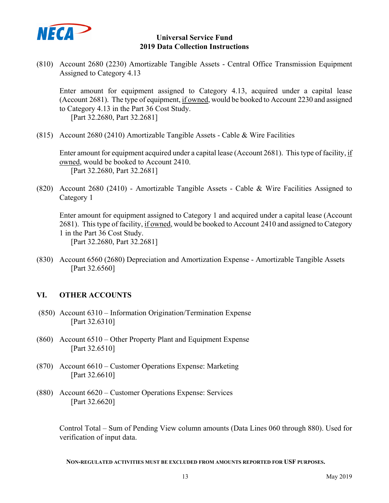

(810) Account 2680 (2230) Amortizable Tangible Assets - Central Office Transmission Equipment Assigned to Category 4.13

Enter amount for equipment assigned to Category 4.13, acquired under a capital lease (Account 2681). The type of equipment, if owned, would be booked to Account 2230 and assigned to Category 4.13 in the Part 36 Cost Study. [Part 32.2680, Part 32.2681]

(815) Account 2680 (2410) Amortizable Tangible Assets - Cable & Wire Facilities

Enter amount for equipment acquired under a capital lease (Account 2681). This type of facility, if owned, would be booked to Account 2410. [Part 32.2680, Part 32.2681]

(820) Account 2680 (2410) - Amortizable Tangible Assets - Cable & Wire Facilities Assigned to Category 1

Enter amount for equipment assigned to Category 1 and acquired under a capital lease (Account 2681). This type of facility, if owned, would be booked to Account 2410 and assigned to Category 1 in the Part 36 Cost Study. [Part 32.2680, Part 32.2681]

(830) Account 6560 (2680) Depreciation and Amortization Expense - Amortizable Tangible Assets [Part 32.6560]

# **VI. OTHER ACCOUNTS**

- (850) Account 6310 Information Origination/Termination Expense [Part 32.6310]
- (860) Account 6510 Other Property Plant and Equipment Expense [Part 32.6510]
- (870) Account 6610 Customer Operations Expense: Marketing [Part 32.6610]
- (880) Account 6620 Customer Operations Expense: Services [Part 32.6620]

Control Total – Sum of Pending View column amounts (Data Lines 060 through 880). Used for verification of input data.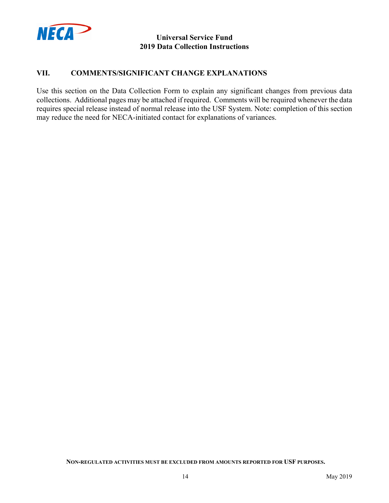

## **VII. COMMENTS/SIGNIFICANT CHANGE EXPLANATIONS**

Use this section on the Data Collection Form to explain any significant changes from previous data collections. Additional pages may be attached if required. Comments will be required whenever the data requires special release instead of normal release into the USF System. Note: completion of this section may reduce the need for NECA-initiated contact for explanations of variances.